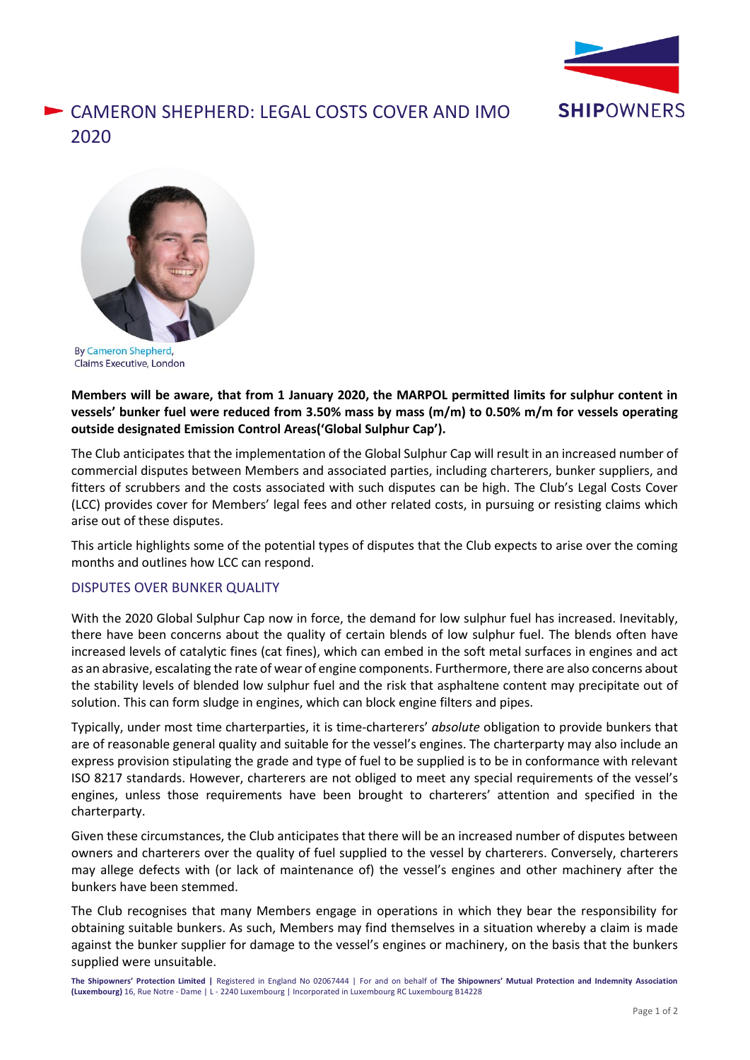

## CAMERON SHEPHERD: LEGAL COSTS COVER AND IMO 2020



**By Cameron Shepherd,** Claims Executive, London

**Members will be aware, that from 1 January 2020, the MARPOL permitted limits for sulphur content in vessels' bunker fuel were reduced from 3.50% mass by mass (m/m) to 0.50% m/m for vessels operating outside designated Emission Control Areas('Global Sulphur Cap').**

The Club anticipates that the implementation of the Global Sulphur Cap will result in an increased number of commercial disputes between Members and associated parties, including charterers, bunker suppliers, and fitters of scrubbers and the costs associated with such disputes can be high. The Club's Legal Costs Cover (LCC) provides cover for Members' legal fees and other related costs, in pursuing or resisting claims which arise out of these disputes.

This article highlights some of the potential types of disputes that the Club expects to arise over the coming months and outlines how LCC can respond.

## DISPUTES OVER BUNKER QUALITY

With the 2020 Global Sulphur Cap now in force, the demand for low sulphur fuel has increased. Inevitably, there have been concerns about the quality of certain blends of low sulphur fuel. The blends often have increased levels of catalytic fines (cat fines), which can embed in the soft metal surfaces in engines and act as an abrasive, escalating the rate of wear of engine components. Furthermore, there are also concerns about the stability levels of blended low sulphur fuel and the risk that asphaltene content may precipitate out of solution. This can form sludge in engines, which can block engine filters and pipes.

Typically, under most time charterparties, it is time-charterers' *absolute* obligation to provide bunkers that are of reasonable general quality and suitable for the vessel's engines. The charterparty may also include an express provision stipulating the grade and type of fuel to be supplied is to be in conformance with relevant ISO 8217 standards. However, charterers are not obliged to meet any special requirements of the vessel's engines, unless those requirements have been brought to charterers' attention and specified in the charterparty.

Given these circumstances, the Club anticipates that there will be an increased number of disputes between owners and charterers over the quality of fuel supplied to the vessel by charterers. Conversely, charterers may allege defects with (or lack of maintenance of) the vessel's engines and other machinery after the bunkers have been stemmed.

The Club recognises that many Members engage in operations in which they bear the responsibility for obtaining suitable bunkers. As such, Members may find themselves in a situation whereby a claim is made against the bunker supplier for damage to the vessel's engines or machinery, on the basis that the bunkers supplied were unsuitable.

**The Shipowners' Protection Limited |** Registered in England No 02067444 | For and on behalf of **The Shipowners' Mutual Protection and Indemnity Association (Luxembourg)** 16, Rue Notre - Dame | L - 2240 Luxembourg | Incorporated in Luxembourg RC Luxembourg B14228